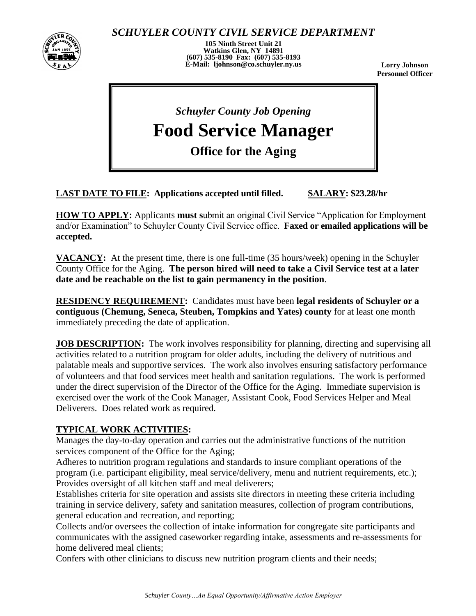

*SCHUYLER COUNTY CIVIL SERVICE DEPARTMENT*

**105 Ninth Street Unit 21 Watkins Glen, NY 14891 (607) 535-8190 Fax: (607) 535-8193 E-Mail: ljohnson@co.schuyler.ny.us**

**Lorry Johnson Personnel Officer**

# *Schuyler County Job Opening*

**Food Service Manager**

Ī **Office for the Aging**

## **LAST DATE TO FILE: Applications accepted until filled. SALARY: \$23.28/hr**

**HOW TO APPLY:** Applicants **must s**ubmit an original Civil Service "Application for Employment and/or Examination" to Schuyler County Civil Service office. **Faxed or emailed applications will be accepted.**

**VACANCY:** At the present time, there is one full-time (35 hours/week) opening in the Schuyler County Office for the Aging. **The person hired will need to take a Civil Service test at a later date and be reachable on the list to gain permanency in the position**.

**RESIDENCY REQUIREMENT:** Candidates must have been **legal residents of Schuyler or a contiguous (Chemung, Seneca, Steuben, Tompkins and Yates) county** for at least one month immediately preceding the date of application.

**JOB DESCRIPTION:** The work involves responsibility for planning, directing and supervising all activities related to a nutrition program for older adults, including the delivery of nutritious and palatable meals and supportive services. The work also involves ensuring satisfactory performance of volunteers and that food services meet health and sanitation regulations. The work is performed under the direct supervision of the Director of the Office for the Aging. Immediate supervision is exercised over the work of the Cook Manager, Assistant Cook, Food Services Helper and Meal Deliverers. Does related work as required.

### **TYPICAL WORK ACTIVITIES:**

Manages the day-to-day operation and carries out the administrative functions of the nutrition services component of the Office for the Aging;

Adheres to nutrition program regulations and standards to insure compliant operations of the program (i.e. participant eligibility, meal service/delivery, menu and nutrient requirements, etc.); Provides oversight of all kitchen staff and meal deliverers;

Establishes criteria for site operation and assists site directors in meeting these criteria including training in service delivery, safety and sanitation measures, collection of program contributions, general education and recreation, and reporting;

Collects and/or oversees the collection of intake information for congregate site participants and communicates with the assigned caseworker regarding intake, assessments and re-assessments for home delivered meal clients;

Confers with other clinicians to discuss new nutrition program clients and their needs;